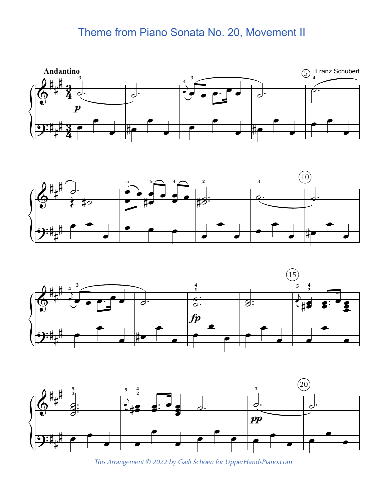## Theme from Piano Sonata No. 20, Movement II









*This Arrangement © 2022 by Gaili Schoen for UpperHandsPiano.com*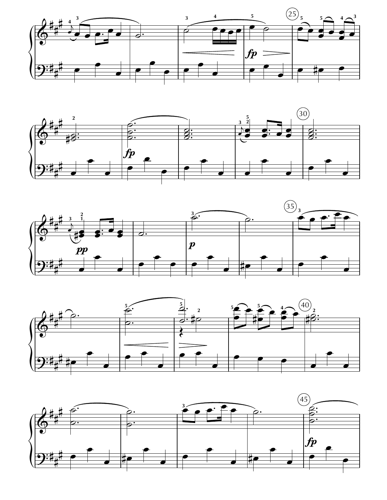